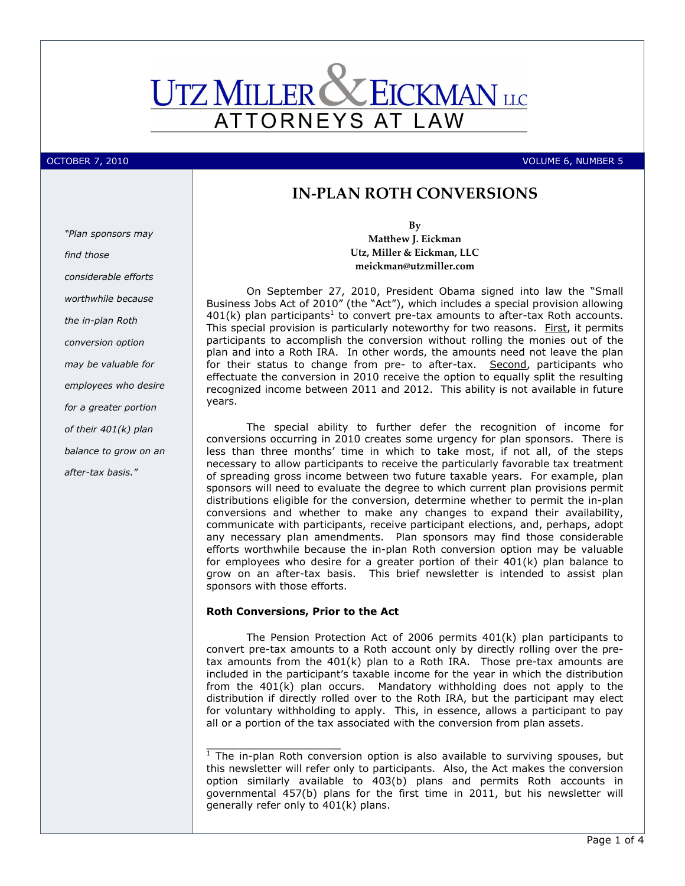

october 7, 2010 **Volume 1, 2010** Volume 1, 2010 1, 2010 1, 2010 1, 2010 1, 2010 1, 2010 1, 2010 1, 2010 1, 2010

# IN-PLAN ROTH CONVERSIONS

"Plan sponsors may find those considerable efforts worthwhile because the in-plan Roth conversion option may be valuable for employees who desire for a greater portion of their 401(k) plan balance to grow on an after-tax basis."

By Matthew J. Eickman Utz, Miller & Eickman, LLC meickman@utzmiller.com

On September 27, 2010, President Obama signed into law the "Small Business Jobs Act of 2010" (the "Act"), which includes a special provision allowing  $401(k)$  plan participants<sup>1</sup> to convert pre-tax amounts to after-tax Roth accounts. This special provision is particularly noteworthy for two reasons. First, it permits participants to accomplish the conversion without rolling the monies out of the plan and into a Roth IRA. In other words, the amounts need not leave the plan for their status to change from pre- to after-tax. Second, participants who effectuate the conversion in 2010 receive the option to equally split the resulting recognized income between 2011 and 2012. This ability is not available in future years.

The special ability to further defer the recognition of income for conversions occurring in 2010 creates some urgency for plan sponsors. There is less than three months' time in which to take most, if not all, of the steps necessary to allow participants to receive the particularly favorable tax treatment of spreading gross income between two future taxable years. For example, plan sponsors will need to evaluate the degree to which current plan provisions permit distributions eligible for the conversion, determine whether to permit the in-plan conversions and whether to make any changes to expand their availability, communicate with participants, receive participant elections, and, perhaps, adopt any necessary plan amendments. Plan sponsors may find those considerable efforts worthwhile because the in-plan Roth conversion option may be valuable for employees who desire for a greater portion of their 401(k) plan balance to grow on an after-tax basis. This brief newsletter is intended to assist plan sponsors with those efforts.

## Roth Conversions, Prior to the Act

 $\frac{1}{2}$  ,  $\frac{1}{2}$  ,  $\frac{1}{2}$  ,  $\frac{1}{2}$  ,  $\frac{1}{2}$  ,  $\frac{1}{2}$  ,  $\frac{1}{2}$  ,  $\frac{1}{2}$  ,  $\frac{1}{2}$  ,  $\frac{1}{2}$  ,  $\frac{1}{2}$  ,  $\frac{1}{2}$  ,  $\frac{1}{2}$  ,  $\frac{1}{2}$  ,  $\frac{1}{2}$  ,  $\frac{1}{2}$  ,  $\frac{1}{2}$  ,  $\frac{1}{2}$  ,  $\frac{1$ 

The Pension Protection Act of 2006 permits 401(k) plan participants to convert pre-tax amounts to a Roth account only by directly rolling over the pretax amounts from the 401(k) plan to a Roth IRA. Those pre-tax amounts are included in the participant's taxable income for the year in which the distribution from the 401(k) plan occurs. Mandatory withholding does not apply to the distribution if directly rolled over to the Roth IRA, but the participant may elect for voluntary withholding to apply. This, in essence, allows a participant to pay all or a portion of the tax associated with the conversion from plan assets.

 $1$  The in-plan Roth conversion option is also available to surviving spouses, but this newsletter will refer only to participants. Also, the Act makes the conversion option similarly available to 403(b) plans and permits Roth accounts in governmental 457(b) plans for the first time in 2011, but his newsletter will generally refer only to 401(k) plans.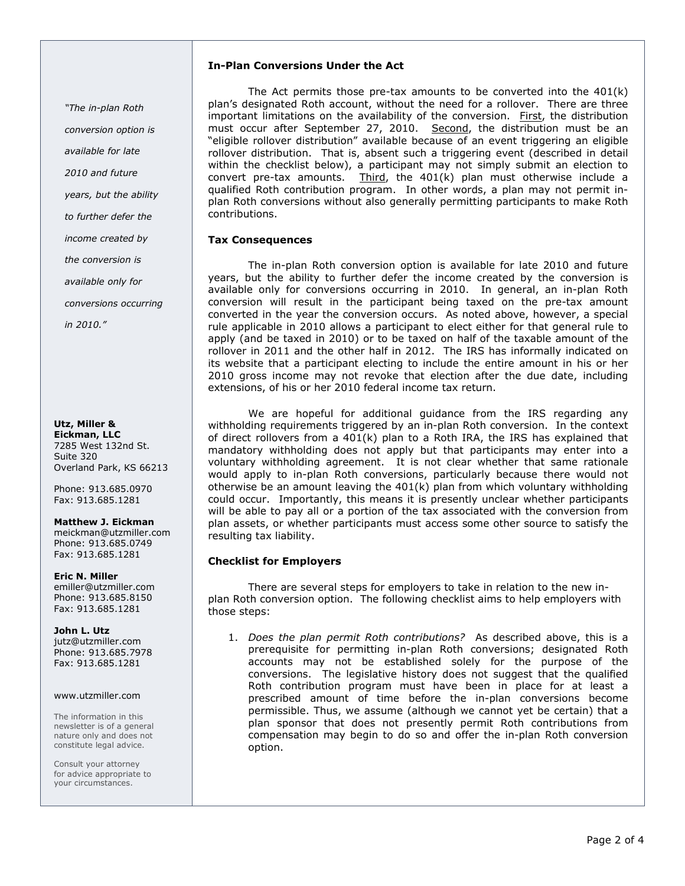"The in-plan Roth conversion option is available for late 2010 and future years, but the ability to further defer the income created by the conversion is

available only for

conversions occurring

in 2010."

#### Utz, Miller & Eickman, LLC 7285 West 132nd St. Suite 320 Overland Park, KS 66213

Phone: 913.685.0970 Fax: 913.685.1281

# Matthew J. Eickman

meickman@utzmiller.com Phone: 913.685.0749 Fax: 913.685.1281

## Eric N. Miller

emiller@utzmiller.com Phone: 913.685.8150 Fax: 913.685.1281

# John L. Utz

jutz@utzmiller.com Phone: 913.685.7978 Fax: 913.685.1281

## www.utzmiller.com

The information in this newsletter is of a general nature only and does not constitute legal advice.

Consult your attorney for advice appropriate to your circumstances.

# In-Plan Conversions Under the Act

 The Act permits those pre-tax amounts to be converted into the 401(k) plan's designated Roth account, without the need for a rollover. There are three important limitations on the availability of the conversion. First, the distribution must occur after September 27, 2010. Second, the distribution must be an "eligible rollover distribution" available because of an event triggering an eligible rollover distribution. That is, absent such a triggering event (described in detail within the checklist below), a participant may not simply submit an election to convert pre-tax amounts. Third, the  $401(k)$  plan must otherwise include a qualified Roth contribution program. In other words, a plan may not permit inplan Roth conversions without also generally permitting participants to make Roth contributions.

# Tax Consequences

 The in-plan Roth conversion option is available for late 2010 and future years, but the ability to further defer the income created by the conversion is available only for conversions occurring in 2010. In general, an in-plan Roth conversion will result in the participant being taxed on the pre-tax amount converted in the year the conversion occurs. As noted above, however, a special rule applicable in 2010 allows a participant to elect either for that general rule to apply (and be taxed in 2010) or to be taxed on half of the taxable amount of the rollover in 2011 and the other half in 2012. The IRS has informally indicated on its website that a participant electing to include the entire amount in his or her 2010 gross income may not revoke that election after the due date, including extensions, of his or her 2010 federal income tax return.

We are hopeful for additional guidance from the IRS regarding any withholding requirements triggered by an in-plan Roth conversion. In the context of direct rollovers from a 401(k) plan to a Roth IRA, the IRS has explained that mandatory withholding does not apply but that participants may enter into a voluntary withholding agreement. It is not clear whether that same rationale would apply to in-plan Roth conversions, particularly because there would not otherwise be an amount leaving the  $401(k)$  plan from which voluntary withholding could occur. Importantly, this means it is presently unclear whether participants will be able to pay all or a portion of the tax associated with the conversion from plan assets, or whether participants must access some other source to satisfy the resulting tax liability.

# Checklist for Employers

 There are several steps for employers to take in relation to the new inplan Roth conversion option. The following checklist aims to help employers with those steps:

1. Does the plan permit Roth contributions? As described above, this is a prerequisite for permitting in-plan Roth conversions; designated Roth accounts may not be established solely for the purpose of the conversions. The legislative history does not suggest that the qualified Roth contribution program must have been in place for at least a prescribed amount of time before the in-plan conversions become permissible. Thus, we assume (although we cannot yet be certain) that a plan sponsor that does not presently permit Roth contributions from compensation may begin to do so and offer the in-plan Roth conversion option.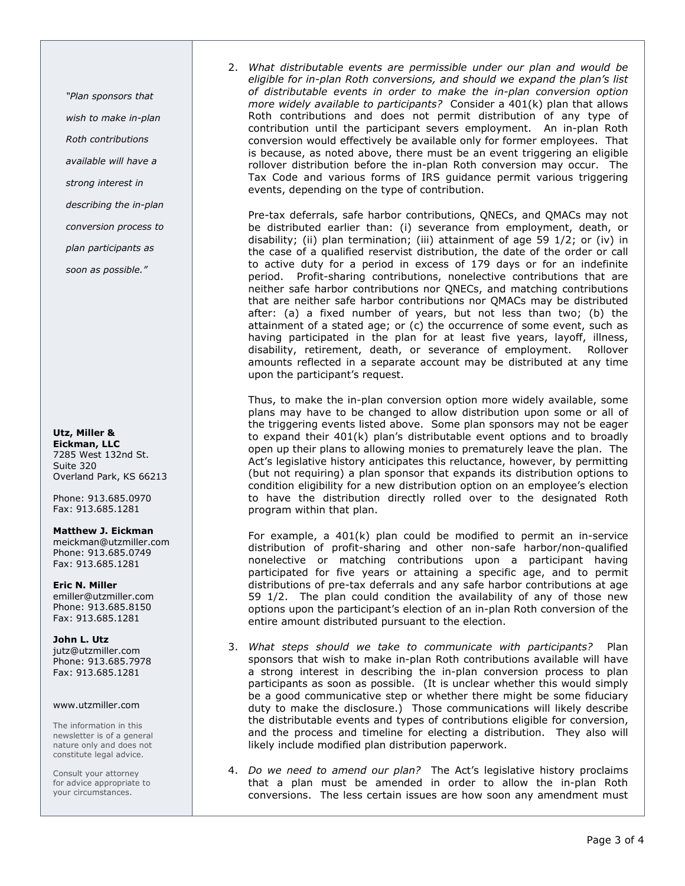"Plan sponsors that wish to make in-plan Roth contributions available will have a strong interest in describing the in-plan conversion process to

plan participants as

soon as possible."

Utz, Miller & Eickman, LLC 7285 West 132nd St. Suite 320 Overland Park, KS 66213

Phone: 913.685.0970 Fax: 913.685.1281

#### Matthew J. Eickman

meickman@utzmiller.com Phone: 913.685.0749 Fax: 913.685.1281

Eric N. Miller emiller@utzmiller.com Phone: 913.685.8150 Fax: 913.685.1281

John L. Utz jutz@utzmiller.com Phone: 913.685.7978 Fax: 913.685.1281

#### www.utzmiller.com

The information in this newsletter is of a general nature only and does not constitute legal advice.

Consult your attorney for advice appropriate to your circumstances.

2. What distributable events are permissible under our plan and would be eligible for in-plan Roth conversions, and should we expand the plan's list of distributable events in order to make the in-plan conversion option more widely available to participants? Consider a 401(k) plan that allows Roth contributions and does not permit distribution of any type of contribution until the participant severs employment. An in-plan Roth conversion would effectively be available only for former employees. That is because, as noted above, there must be an event triggering an eligible rollover distribution before the in-plan Roth conversion may occur. The Tax Code and various forms of IRS guidance permit various triggering events, depending on the type of contribution.

Pre-tax deferrals, safe harbor contributions, QNECs, and QMACs may not be distributed earlier than: (i) severance from employment, death, or disability; (ii) plan termination; (iii) attainment of age 59 1/2; or (iv) in the case of a qualified reservist distribution, the date of the order or call to active duty for a period in excess of 179 days or for an indefinite period. Profit-sharing contributions, nonelective contributions that are neither safe harbor contributions nor QNECs, and matching contributions that are neither safe harbor contributions nor QMACs may be distributed after: (a) a fixed number of years, but not less than two; (b) the attainment of a stated age; or (c) the occurrence of some event, such as having participated in the plan for at least five years, layoff, illness, disability, retirement, death, or severance of employment. Rollover amounts reflected in a separate account may be distributed at any time upon the participant's request.

Thus, to make the in-plan conversion option more widely available, some plans may have to be changed to allow distribution upon some or all of the triggering events listed above. Some plan sponsors may not be eager to expand their 401(k) plan's distributable event options and to broadly open up their plans to allowing monies to prematurely leave the plan. The Act's legislative history anticipates this reluctance, however, by permitting (but not requiring) a plan sponsor that expands its distribution options to condition eligibility for a new distribution option on an employee's election to have the distribution directly rolled over to the designated Roth program within that plan.

For example, a 401(k) plan could be modified to permit an in-service distribution of profit-sharing and other non-safe harbor/non-qualified nonelective or matching contributions upon a participant having participated for five years or attaining a specific age, and to permit distributions of pre-tax deferrals and any safe harbor contributions at age 59 1/2. The plan could condition the availability of any of those new options upon the participant's election of an in-plan Roth conversion of the entire amount distributed pursuant to the election.

- 3. What steps should we take to communicate with participants? Plan sponsors that wish to make in-plan Roth contributions available will have a strong interest in describing the in-plan conversion process to plan participants as soon as possible. (It is unclear whether this would simply be a good communicative step or whether there might be some fiduciary duty to make the disclosure.) Those communications will likely describe the distributable events and types of contributions eligible for conversion, and the process and timeline for electing a distribution. They also will likely include modified plan distribution paperwork.
- 4. Do we need to amend our plan? The Act's legislative history proclaims that a plan must be amended in order to allow the in-plan Roth conversions. The less certain issues are how soon any amendment must